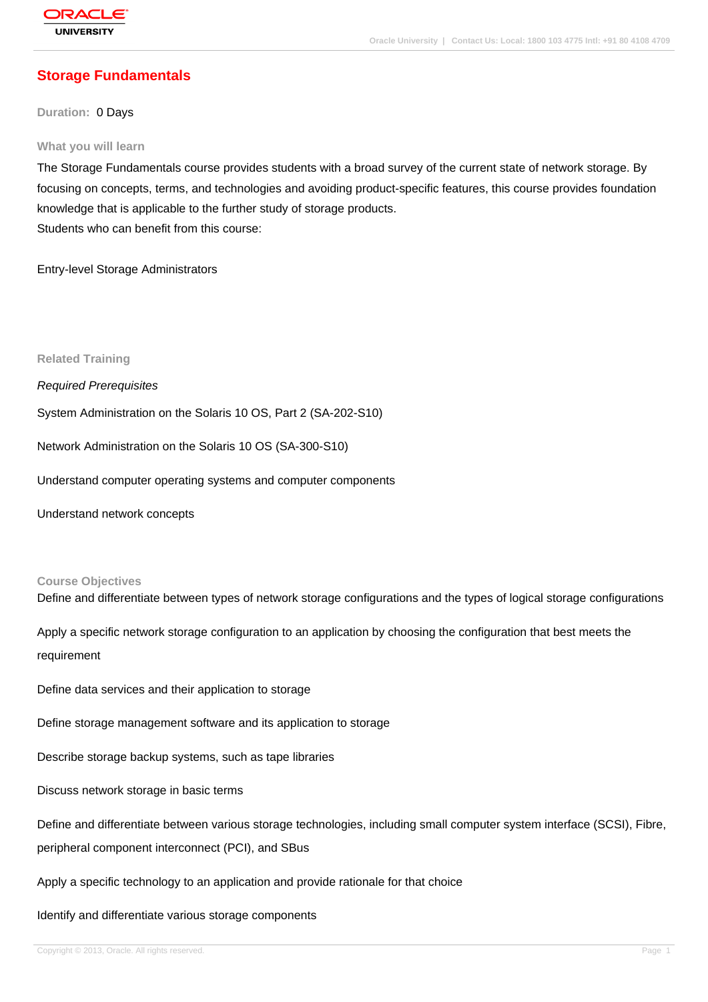# **[Storage Funda](http://education.oracle.com/pls/web_prod-plq-dad/db_pages.getpage?page_id=3)mentals**

**Duration:** 0 Days

#### **What you will learn**

The Storage Fundamentals course provides students with a broad survey of the current state of network storage. By focusing on concepts, terms, and technologies and avoiding product-specific features, this course provides foundation knowledge that is applicable to the further study of storage products. Students who can benefit from this course:

Entry-level Storage Administrators

**Related Training**

Required Prerequisites

System Administration on the Solaris 10 OS, Part 2 (SA-202-S10)

Network Administration on the Solaris 10 OS (SA-300-S10)

Understand computer operating systems and computer components

Understand network concepts

#### **Course Objectives**

Define and differentiate between types of network storage configurations and the types of logical storage configurations

Apply a specific network storage configuration to an application by choosing the configuration that best meets the requirement

Define data services and their application to storage

Define storage management software and its application to storage

Describe storage backup systems, such as tape libraries

Discuss network storage in basic terms

Define and differentiate between various storage technologies, including small computer system interface (SCSI), Fibre, peripheral component interconnect (PCI), and SBus

Apply a specific technology to an application and provide rationale for that choice

Identify and differentiate various storage components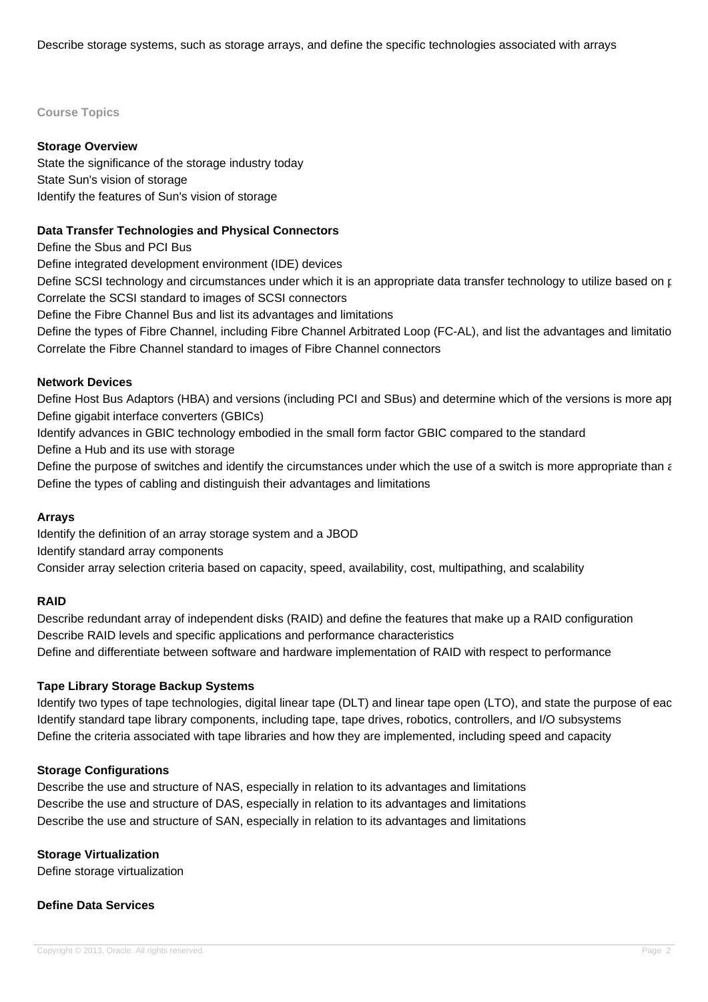Describe storage systems, such as storage arrays, and define the specific technologies associated with arrays

#### **Course Topics**

# **Storage Overview**

State the significance of the storage industry today State Sun's vision of storage Identify the features of Sun's vision of storage

# **Data Transfer Technologies and Physical Connectors**

Define the Sbus and PCI Bus

Define integrated development environment (IDE) devices

Define SCSI technology and circumstances under which it is an appropriate data transfer technology to utilize based on p Correlate the SCSI standard to images of SCSI connectors

Define the Fibre Channel Bus and list its advantages and limitations

Define the types of Fibre Channel, including Fibre Channel Arbitrated Loop (FC-AL), and list the advantages and limitatio Correlate the Fibre Channel standard to images of Fibre Channel connectors

## **Network Devices**

Define Host Bus Adaptors (HBA) and versions (including PCI and SBus) and determine which of the versions is more appropriate in a given circumstance in a given circumstance in a given circumstance in a given circumstance i Define gigabit interface converters (GBICs)

Identify advances in GBIC technology embodied in the small form factor GBIC compared to the standard

Define a Hub and its use with storage

Define the purpose of switches and identify the circumstances under which the use of a switch is more appropriate than a Define the types of cabling and distinguish their advantages and limitations

## **Arrays**

Identify the definition of an array storage system and a JBOD Identify standard array components Consider array selection criteria based on capacity, speed, availability, cost, multipathing, and scalability

## **RAID**

Describe redundant array of independent disks (RAID) and define the features that make up a RAID configuration Describe RAID levels and specific applications and performance characteristics Define and differentiate between software and hardware implementation of RAID with respect to performance

## **Tape Library Storage Backup Systems**

Identify two types of tape technologies, digital linear tape (DLT) and linear tape open (LTO), and state the purpose of eac Identify standard tape library components, including tape, tape drives, robotics, controllers, and I/O subsystems Define the criteria associated with tape libraries and how they are implemented, including speed and capacity

## **Storage Configurations**

Describe the use and structure of NAS, especially in relation to its advantages and limitations Describe the use and structure of DAS, especially in relation to its advantages and limitations Describe the use and structure of SAN, especially in relation to its advantages and limitations

## **Storage Virtualization**

Define storage virtualization

## **Define Data Services**